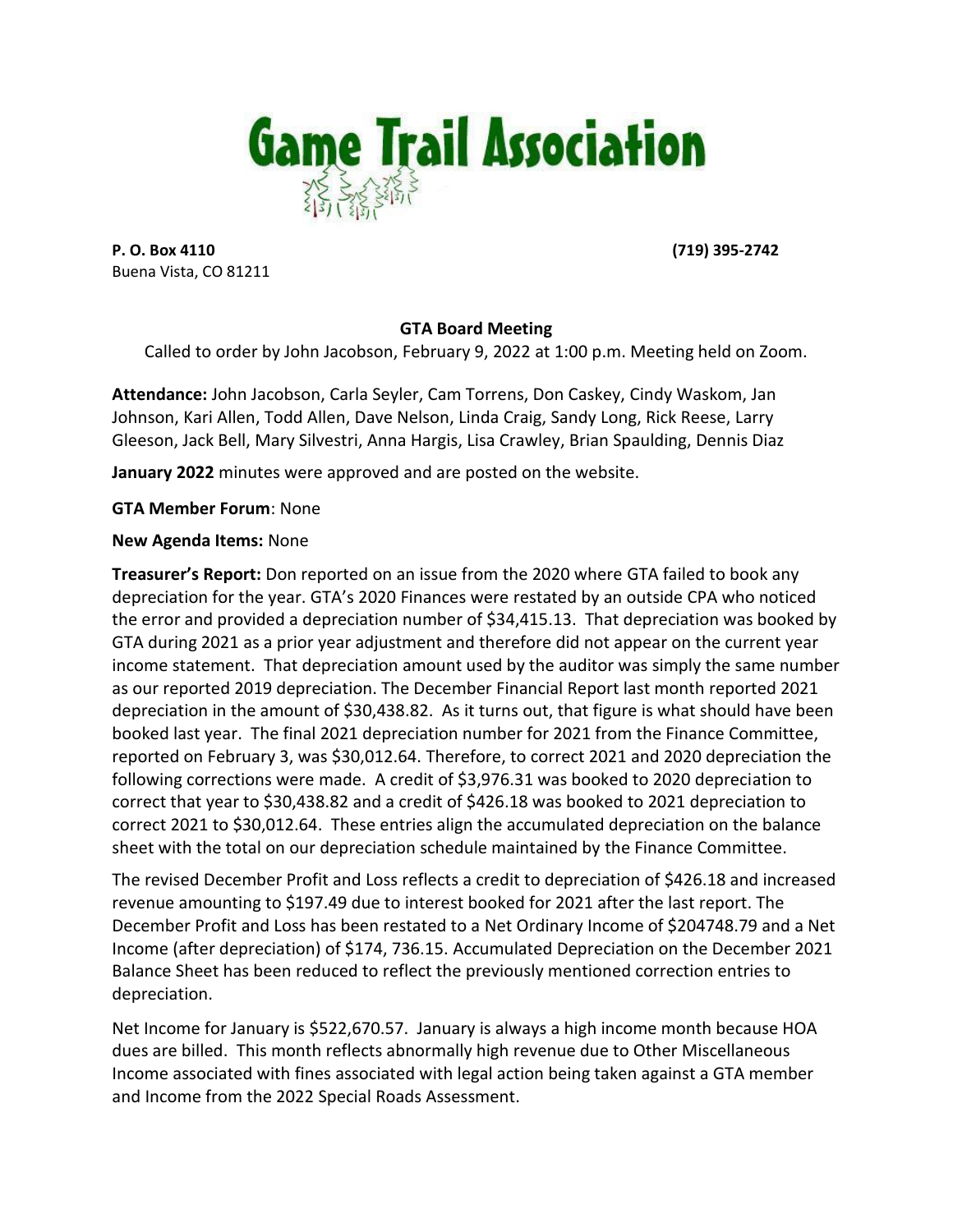

**P. O. Box 4110 (719) 395-2742** Buena Vista, CO 81211

# **GTA Board Meeting**

Called to order by John Jacobson, February 9, 2022 at 1:00 p.m. Meeting held on Zoom.

**Attendance:** John Jacobson, Carla Seyler, Cam Torrens, Don Caskey, Cindy Waskom, Jan Johnson, Kari Allen, Todd Allen, Dave Nelson, Linda Craig, Sandy Long, Rick Reese, Larry Gleeson, Jack Bell, Mary Silvestri, Anna Hargis, Lisa Crawley, Brian Spaulding, Dennis Diaz

**January 2022** minutes were approved and are posted on the website.

**GTA Member Forum**: None

## **New Agenda Items:** None

**Treasurer's Report:** Don reported on an issue from the 2020 where GTA failed to book any depreciation for the year. GTA's 2020 Finances were restated by an outside CPA who noticed the error and provided a depreciation number of \$34,415.13. That depreciation was booked by GTA during 2021 as a prior year adjustment and therefore did not appear on the current year income statement. That depreciation amount used by the auditor was simply the same number as our reported 2019 depreciation. The December Financial Report last month reported 2021 depreciation in the amount of \$30,438.82. As it turns out, that figure is what should have been booked last year. The final 2021 depreciation number for 2021 from the Finance Committee, reported on February 3, was \$30,012.64. Therefore, to correct 2021 and 2020 depreciation the following corrections were made. A credit of \$3,976.31 was booked to 2020 depreciation to correct that year to \$30,438.82 and a credit of \$426.18 was booked to 2021 depreciation to correct 2021 to \$30,012.64. These entries align the accumulated depreciation on the balance sheet with the total on our depreciation schedule maintained by the Finance Committee.

The revised December Profit and Loss reflects a credit to depreciation of \$426.18 and increased revenue amounting to \$197.49 due to interest booked for 2021 after the last report. The December Profit and Loss has been restated to a Net Ordinary Income of \$204748.79 and a Net Income (after depreciation) of \$174, 736.15. Accumulated Depreciation on the December 2021 Balance Sheet has been reduced to reflect the previously mentioned correction entries to depreciation.

Net Income for January is \$522,670.57. January is always a high income month because HOA dues are billed. This month reflects abnormally high revenue due to Other Miscellaneous Income associated with fines associated with legal action being taken against a GTA member and Income from the 2022 Special Roads Assessment.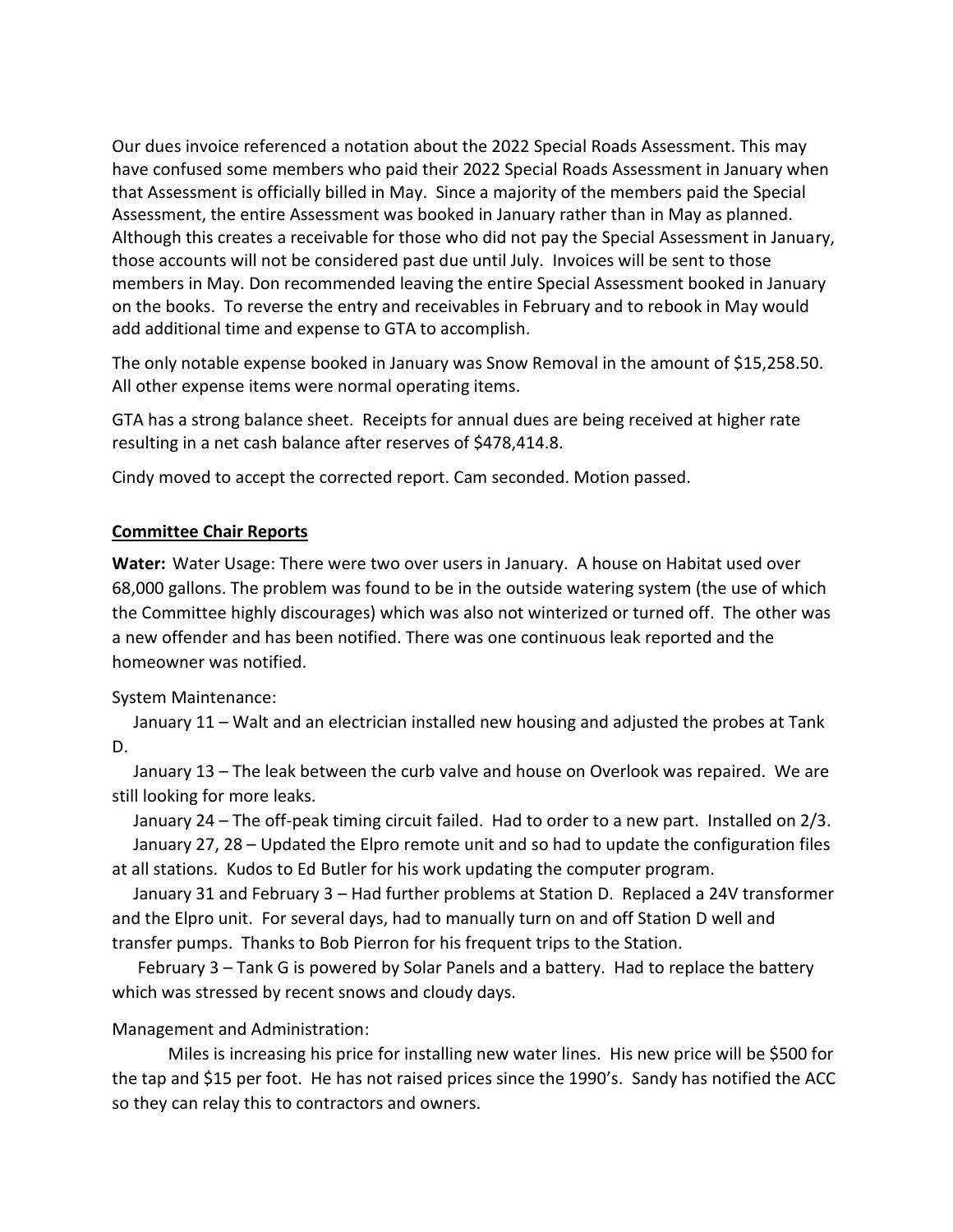Our dues invoice referenced a notation about the 2022 Special Roads Assessment. This may have confused some members who paid their 2022 Special Roads Assessment in January when that Assessment is officially billed in May. Since a majority of the members paid the Special Assessment, the entire Assessment was booked in January rather than in May as planned. Although this creates a receivable for those who did not pay the Special Assessment in January, those accounts will not be considered past due until July. Invoices will be sent to those members in May. Don recommended leaving the entire Special Assessment booked in January on the books. To reverse the entry and receivables in February and to rebook in May would add additional time and expense to GTA to accomplish.

The only notable expense booked in January was Snow Removal in the amount of \$15,258.50. All other expense items were normal operating items.

GTA has a strong balance sheet. Receipts for annual dues are being received at higher rate resulting in a net cash balance after reserves of \$478,414.8.

Cindy moved to accept the corrected report. Cam seconded. Motion passed.

### **Committee Chair Reports**

**Water:** Water Usage: There were two over users in January. A house on Habitat used over 68,000 gallons. The problem was found to be in the outside watering system (the use of which the Committee highly discourages) which was also not winterized or turned off. The other was a new offender and has been notified. There was one continuous leak reported and the homeowner was notified.

System Maintenance:

 January 11 – Walt and an electrician installed new housing and adjusted the probes at Tank D.

 January 13 – The leak between the curb valve and house on Overlook was repaired. We are still looking for more leaks.

 January 24 – The off-peak timing circuit failed. Had to order to a new part. Installed on 2/3. January 27, 28 – Updated the Elpro remote unit and so had to update the configuration files at all stations. Kudos to Ed Butler for his work updating the computer program.

 January 31 and February 3 – Had further problems at Station D. Replaced a 24V transformer and the Elpro unit. For several days, had to manually turn on and off Station D well and transfer pumps. Thanks to Bob Pierron for his frequent trips to the Station.

 February 3 – Tank G is powered by Solar Panels and a battery. Had to replace the battery which was stressed by recent snows and cloudy days.

# Management and Administration:

Miles is increasing his price for installing new water lines. His new price will be \$500 for the tap and \$15 per foot. He has not raised prices since the 1990's. Sandy has notified the ACC so they can relay this to contractors and owners.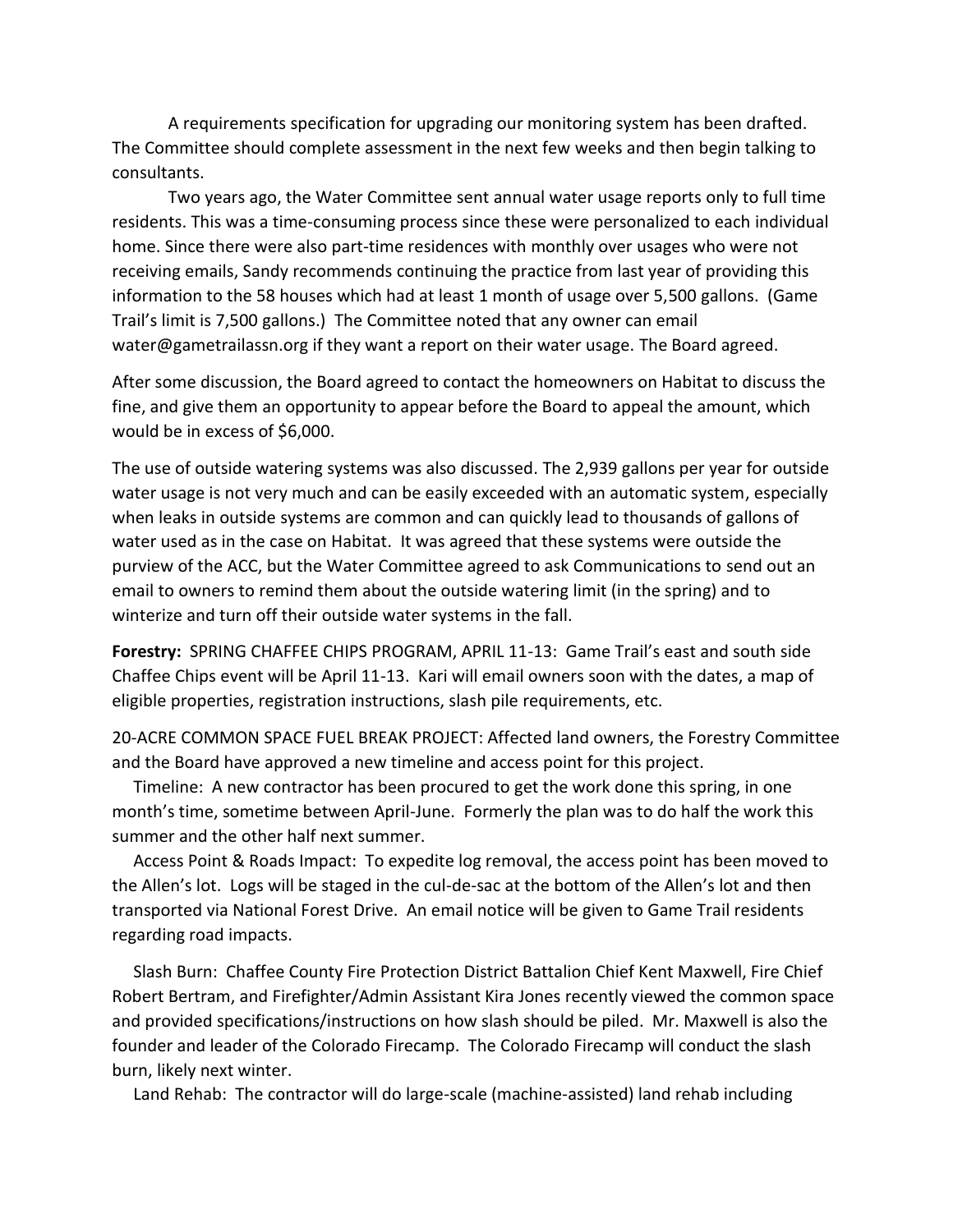A requirements specification for upgrading our monitoring system has been drafted. The Committee should complete assessment in the next few weeks and then begin talking to consultants.

Two years ago, the Water Committee sent annual water usage reports only to full time residents. This was a time-consuming process since these were personalized to each individual home. Since there were also part-time residences with monthly over usages who were not receiving emails, Sandy recommends continuing the practice from last year of providing this information to the 58 houses which had at least 1 month of usage over 5,500 gallons. (Game Trail's limit is 7,500 gallons.) The Committee noted that any owner can email water@gametrailassn.org if they want a report on their water usage. The Board agreed.

After some discussion, the Board agreed to contact the homeowners on Habitat to discuss the fine, and give them an opportunity to appear before the Board to appeal the amount, which would be in excess of \$6,000.

The use of outside watering systems was also discussed. The 2,939 gallons per year for outside water usage is not very much and can be easily exceeded with an automatic system, especially when leaks in outside systems are common and can quickly lead to thousands of gallons of water used as in the case on Habitat. It was agreed that these systems were outside the purview of the ACC, but the Water Committee agreed to ask Communications to send out an email to owners to remind them about the outside watering limit (in the spring) and to winterize and turn off their outside water systems in the fall.

**Forestry:** SPRING CHAFFEE CHIPS PROGRAM, APRIL 11-13: Game Trail's east and south side Chaffee Chips event will be April 11-13. Kari will email owners soon with the dates, a map of eligible properties, registration instructions, slash pile requirements, etc.

20-ACRE COMMON SPACE FUEL BREAK PROJECT: Affected land owners, the Forestry Committee and the Board have approved a new timeline and access point for this project.

 Timeline: A new contractor has been procured to get the work done this spring, in one month's time, sometime between April-June. Formerly the plan was to do half the work this summer and the other half next summer.

 Access Point & Roads Impact: To expedite log removal, the access point has been moved to the Allen's lot. Logs will be staged in the cul-de-sac at the bottom of the Allen's lot and then transported via National Forest Drive. An email notice will be given to Game Trail residents regarding road impacts.

 Slash Burn: Chaffee County Fire Protection District Battalion Chief Kent Maxwell, Fire Chief Robert Bertram, and Firefighter/Admin Assistant Kira Jones recently viewed the common space and provided specifications/instructions on how slash should be piled. Mr. Maxwell is also the founder and leader of the Colorado Firecamp. The Colorado Firecamp will conduct the slash burn, likely next winter.

Land Rehab: The contractor will do large-scale (machine-assisted) land rehab including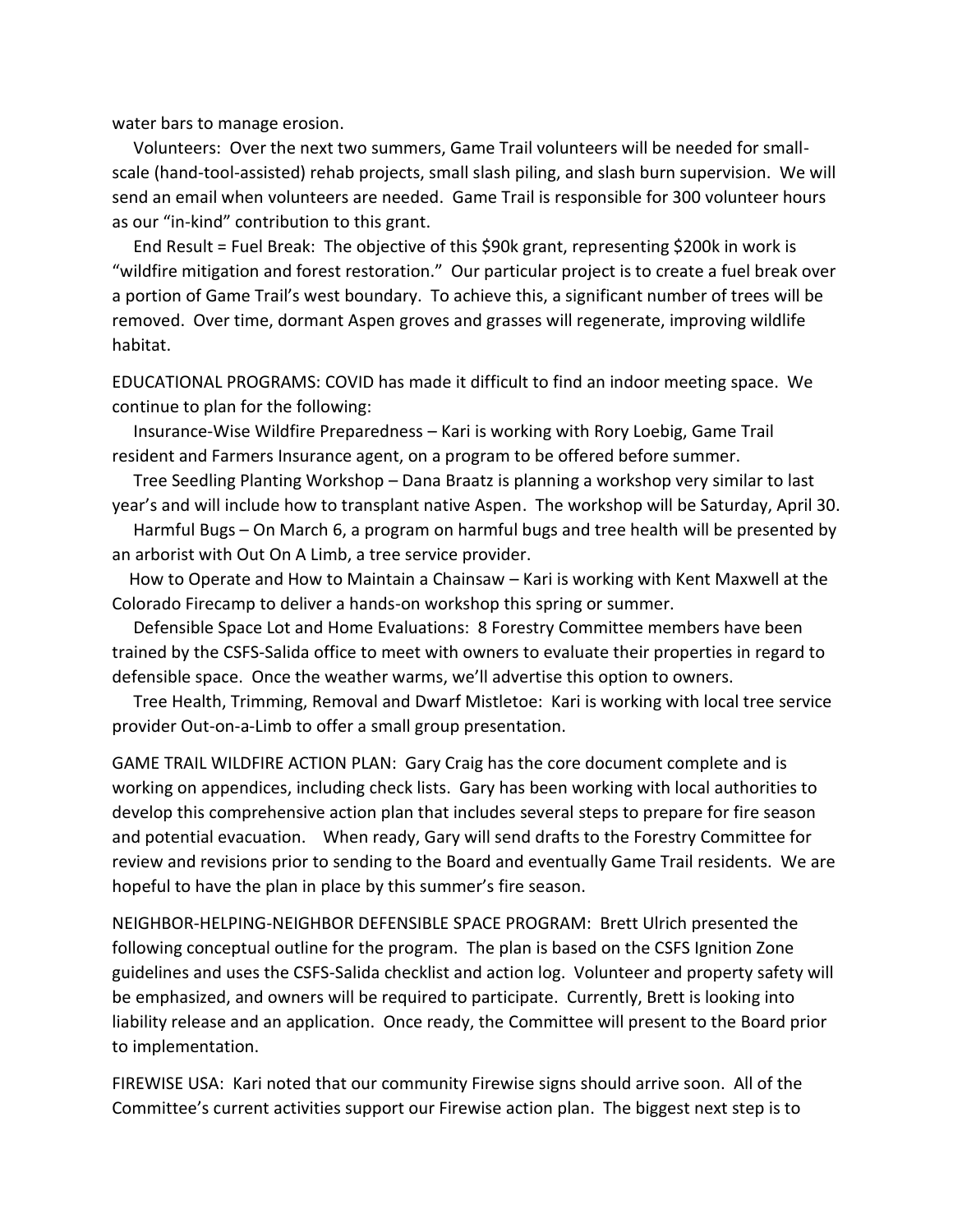water bars to manage erosion.

 Volunteers: Over the next two summers, Game Trail volunteers will be needed for smallscale (hand-tool-assisted) rehab projects, small slash piling, and slash burn supervision. We will send an email when volunteers are needed. Game Trail is responsible for 300 volunteer hours as our "in-kind" contribution to this grant.

 End Result = Fuel Break: The objective of this \$90k grant, representing \$200k in work is "wildfire mitigation and forest restoration." Our particular project is to create a fuel break over a portion of Game Trail's west boundary. To achieve this, a significant number of trees will be removed. Over time, dormant Aspen groves and grasses will regenerate, improving wildlife habitat.

EDUCATIONAL PROGRAMS: COVID has made it difficult to find an indoor meeting space. We continue to plan for the following:

 Insurance-Wise Wildfire Preparedness – Kari is working with Rory Loebig, Game Trail resident and Farmers Insurance agent, on a program to be offered before summer.

 Tree Seedling Planting Workshop – Dana Braatz is planning a workshop very similar to last year's and will include how to transplant native Aspen. The workshop will be Saturday, April 30.

 Harmful Bugs – On March 6, a program on harmful bugs and tree health will be presented by an arborist with Out On A Limb, a tree service provider.

 How to Operate and How to Maintain a Chainsaw – Kari is working with Kent Maxwell at the Colorado Firecamp to deliver a hands-on workshop this spring or summer.

 Defensible Space Lot and Home Evaluations: 8 Forestry Committee members have been trained by the CSFS-Salida office to meet with owners to evaluate their properties in regard to defensible space. Once the weather warms, we'll advertise this option to owners.

 Tree Health, Trimming, Removal and Dwarf Mistletoe: Kari is working with local tree service provider Out-on-a-Limb to offer a small group presentation.

GAME TRAIL WILDFIRE ACTION PLAN: Gary Craig has the core document complete and is working on appendices, including check lists. Gary has been working with local authorities to develop this comprehensive action plan that includes several steps to prepare for fire season and potential evacuation. When ready, Gary will send drafts to the Forestry Committee for review and revisions prior to sending to the Board and eventually Game Trail residents. We are hopeful to have the plan in place by this summer's fire season.

NEIGHBOR-HELPING-NEIGHBOR DEFENSIBLE SPACE PROGRAM: Brett Ulrich presented the following conceptual outline for the program. The plan is based on the CSFS Ignition Zone guidelines and uses the CSFS-Salida checklist and action log. Volunteer and property safety will be emphasized, and owners will be required to participate. Currently, Brett is looking into liability release and an application. Once ready, the Committee will present to the Board prior to implementation.

FIREWISE USA: Kari noted that our community Firewise signs should arrive soon. All of the Committee's current activities support our Firewise action plan. The biggest next step is to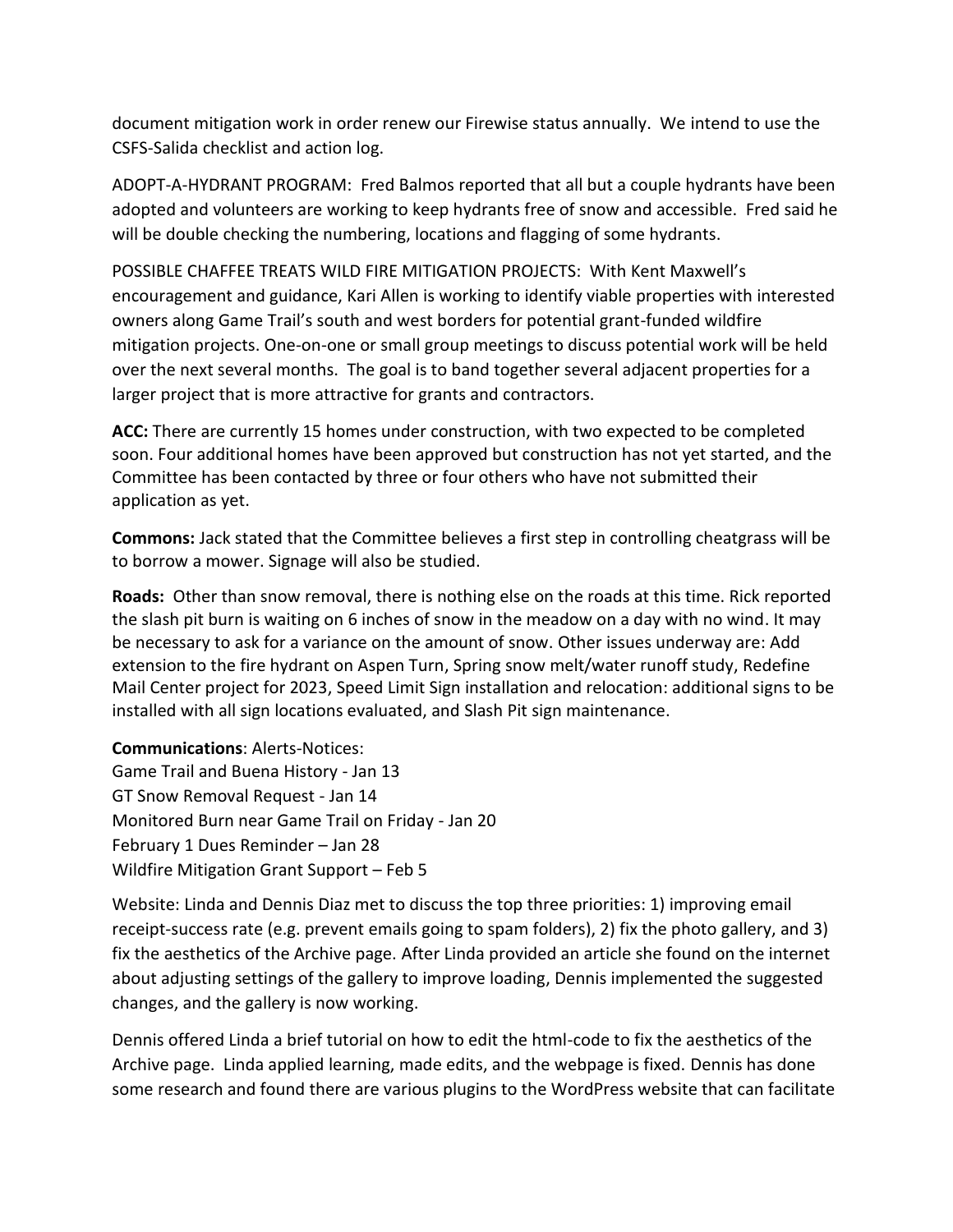document mitigation work in order renew our Firewise status annually. We intend to use the CSFS-Salida checklist and action log.

ADOPT-A-HYDRANT PROGRAM: Fred Balmos reported that all but a couple hydrants have been adopted and volunteers are working to keep hydrants free of snow and accessible. Fred said he will be double checking the numbering, locations and flagging of some hydrants.

POSSIBLE CHAFFEE TREATS WILD FIRE MITIGATION PROJECTS: With Kent Maxwell's encouragement and guidance, Kari Allen is working to identify viable properties with interested owners along Game Trail's south and west borders for potential grant-funded wildfire mitigation projects. One-on-one or small group meetings to discuss potential work will be held over the next several months. The goal is to band together several adjacent properties for a larger project that is more attractive for grants and contractors.

**ACC:** There are currently 15 homes under construction, with two expected to be completed soon. Four additional homes have been approved but construction has not yet started, and the Committee has been contacted by three or four others who have not submitted their application as yet.

**Commons:** Jack stated that the Committee believes a first step in controlling cheatgrass will be to borrow a mower. Signage will also be studied.

**Roads:** Other than snow removal, there is nothing else on the roads at this time. Rick reported the slash pit burn is waiting on 6 inches of snow in the meadow on a day with no wind. It may be necessary to ask for a variance on the amount of snow. Other issues underway are: Add extension to the fire hydrant on Aspen Turn, Spring snow melt/water runoff study, Redefine Mail Center project for 2023, Speed Limit Sign installation and relocation: additional signs to be installed with all sign locations evaluated, and Slash Pit sign maintenance.

**Communications**: Alerts-Notices: Game Trail and Buena History - Jan 13 GT Snow Removal Request - Jan 14 Monitored Burn near Game Trail on Friday - Jan 20 February 1 Dues Reminder – Jan 28 Wildfire Mitigation Grant Support – Feb 5

Website: Linda and Dennis Diaz met to discuss the top three priorities: 1) improving email receipt-success rate (e.g. prevent emails going to spam folders), 2) fix the photo gallery, and 3) fix the aesthetics of the Archive page. After Linda provided an article she found on the internet about adjusting settings of the gallery to improve loading, Dennis implemented the suggested changes, and the gallery is now working.

Dennis offered Linda a brief tutorial on how to edit the html-code to fix the aesthetics of the Archive page. Linda applied learning, made edits, and the webpage is fixed. Dennis has done some research and found there are various plugins to the WordPress website that can facilitate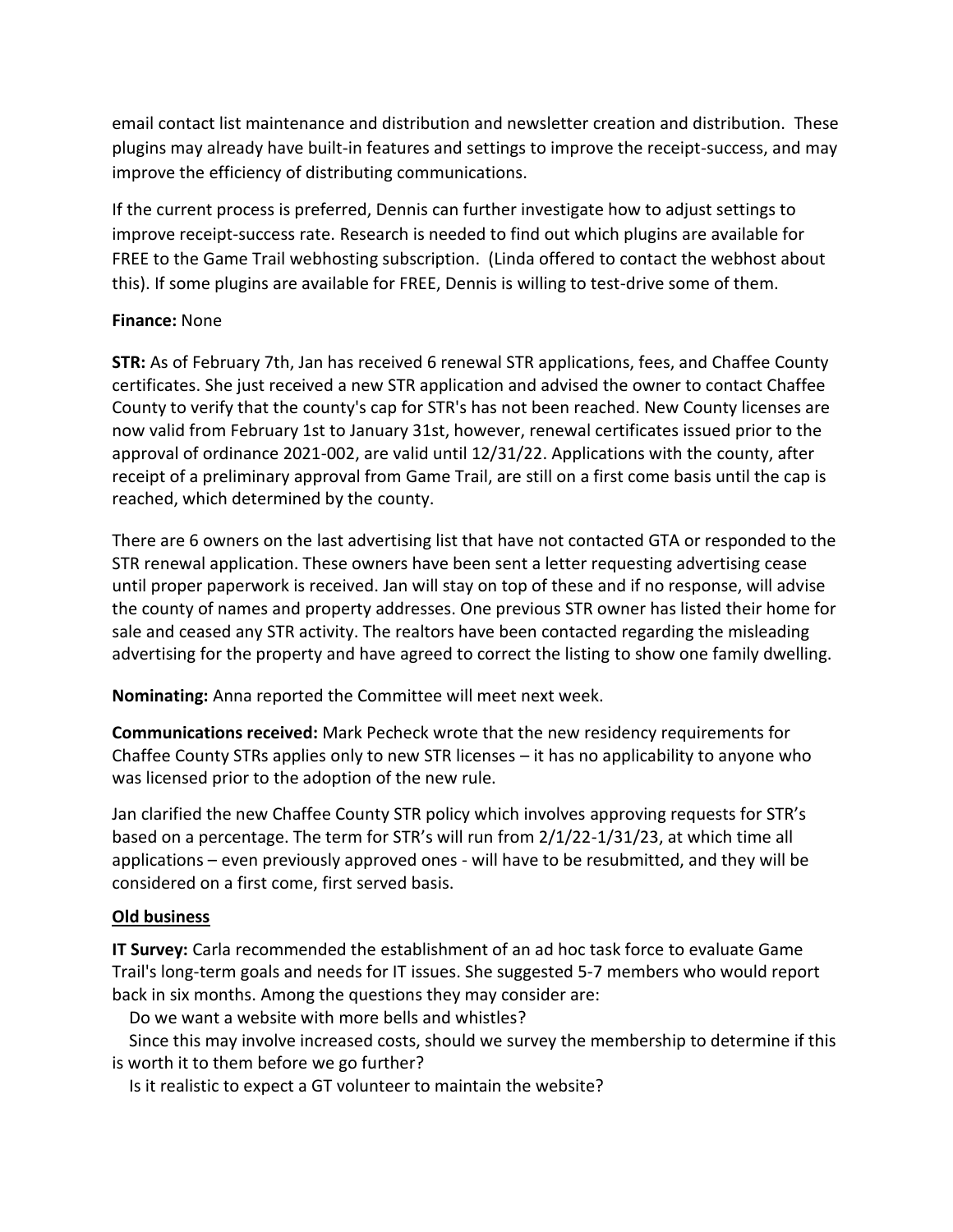email contact list maintenance and distribution and newsletter creation and distribution. These plugins may already have built-in features and settings to improve the receipt-success, and may improve the efficiency of distributing communications.

If the current process is preferred, Dennis can further investigate how to adjust settings to improve receipt-success rate. Research is needed to find out which plugins are available for FREE to the Game Trail webhosting subscription. (Linda offered to contact the webhost about this). If some plugins are available for FREE, Dennis is willing to test-drive some of them.

### **Finance:** None

**STR:** As of February 7th, Jan has received 6 renewal STR applications, fees, and Chaffee County certificates. She just received a new STR application and advised the owner to contact Chaffee County to verify that the county's cap for STR's has not been reached. New County licenses are now valid from February 1st to January 31st, however, renewal certificates issued prior to the approval of ordinance 2021-002, are valid until 12/31/22. Applications with the county, after receipt of a preliminary approval from Game Trail, are still on a first come basis until the cap is reached, which determined by the county.

There are 6 owners on the last advertising list that have not contacted GTA or responded to the STR renewal application. These owners have been sent a letter requesting advertising cease until proper paperwork is received. Jan will stay on top of these and if no response, will advise the county of names and property addresses. One previous STR owner has listed their home for sale and ceased any STR activity. The realtors have been contacted regarding the misleading advertising for the property and have agreed to correct the listing to show one family dwelling.

**Nominating:** Anna reported the Committee will meet next week.

**Communications received:** Mark Pecheck wrote that the new residency requirements for Chaffee County STRs applies only to new STR licenses – it has no applicability to anyone who was licensed prior to the adoption of the new rule.

Jan clarified the new Chaffee County STR policy which involves approving requests for STR's based on a percentage. The term for STR's will run from 2/1/22-1/31/23, at which time all applications – even previously approved ones - will have to be resubmitted, and they will be considered on a first come, first served basis.

# **Old business**

**IT Survey:** Carla recommended the establishment of an ad hoc task force to evaluate Game Trail's long-term goals and needs for IT issues. She suggested 5-7 members who would report back in six months. Among the questions they may consider are:

Do we want a website with more bells and whistles?

 Since this may involve increased costs, should we survey the membership to determine if this is worth it to them before we go further?

Is it realistic to expect a GT volunteer to maintain the website?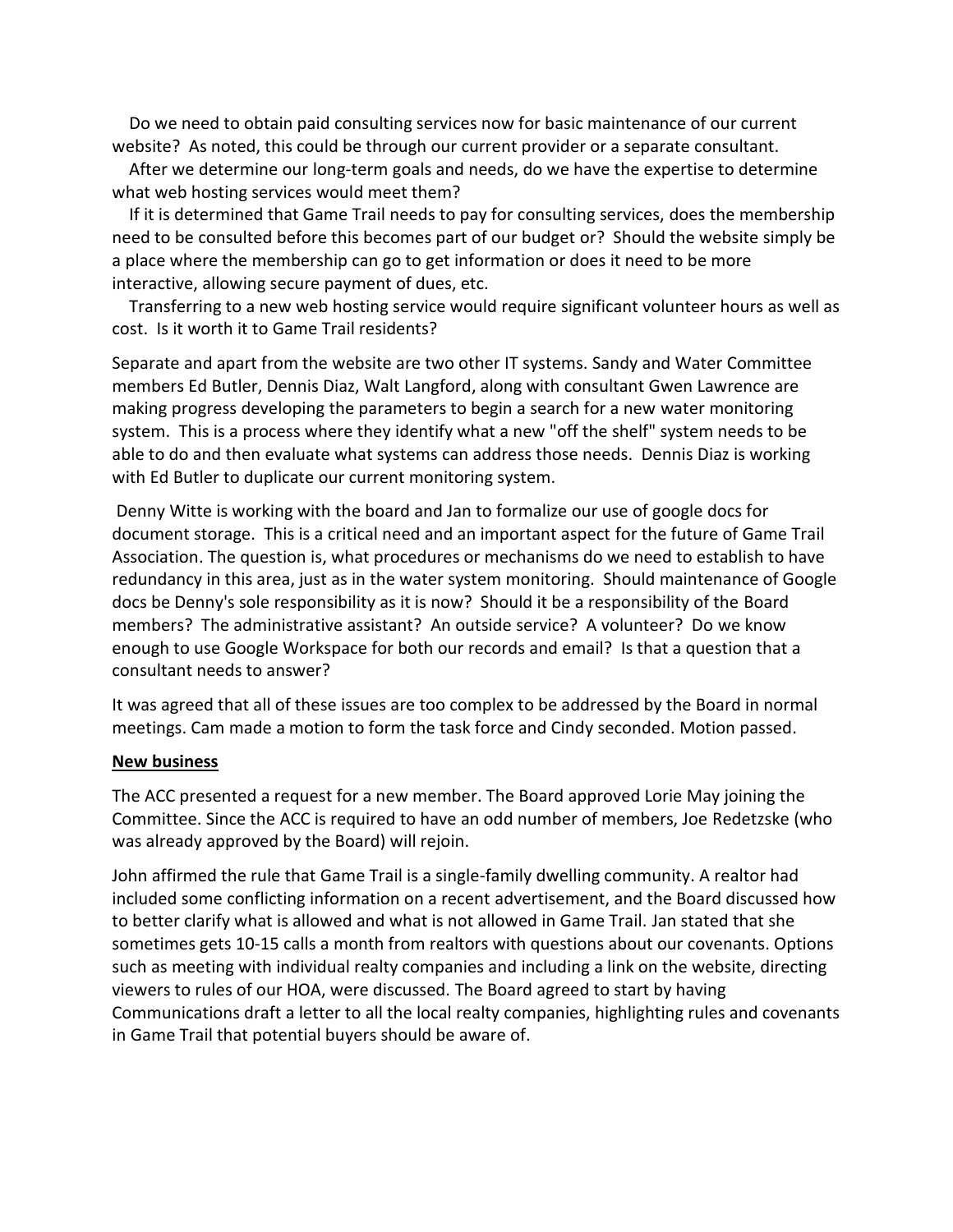Do we need to obtain paid consulting services now for basic maintenance of our current website? As noted, this could be through our current provider or a separate consultant.

 After we determine our long-term goals and needs, do we have the expertise to determine what web hosting services would meet them?

 If it is determined that Game Trail needs to pay for consulting services, does the membership need to be consulted before this becomes part of our budget or? Should the website simply be a place where the membership can go to get information or does it need to be more interactive, allowing secure payment of dues, etc.

 Transferring to a new web hosting service would require significant volunteer hours as well as cost. Is it worth it to Game Trail residents?

Separate and apart from the website are two other IT systems. Sandy and Water Committee members Ed Butler, Dennis Diaz, Walt Langford, along with consultant Gwen Lawrence are making progress developing the parameters to begin a search for a new water monitoring system. This is a process where they identify what a new "off the shelf" system needs to be able to do and then evaluate what systems can address those needs. Dennis Diaz is working with Ed Butler to duplicate our current monitoring system.

Denny Witte is working with the board and Jan to formalize our use of google docs for document storage. This is a critical need and an important aspect for the future of Game Trail Association. The question is, what procedures or mechanisms do we need to establish to have redundancy in this area, just as in the water system monitoring. Should maintenance of Google docs be Denny's sole responsibility as it is now? Should it be a responsibility of the Board members? The administrative assistant? An outside service? A volunteer? Do we know enough to use Google Workspace for both our records and email? Is that a question that a consultant needs to answer?

It was agreed that all of these issues are too complex to be addressed by the Board in normal meetings. Cam made a motion to form the task force and Cindy seconded. Motion passed.

### **New business**

The ACC presented a request for a new member. The Board approved Lorie May joining the Committee. Since the ACC is required to have an odd number of members, Joe Redetzske (who was already approved by the Board) will rejoin.

John affirmed the rule that Game Trail is a single-family dwelling community. A realtor had included some conflicting information on a recent advertisement, and the Board discussed how to better clarify what is allowed and what is not allowed in Game Trail. Jan stated that she sometimes gets 10-15 calls a month from realtors with questions about our covenants. Options such as meeting with individual realty companies and including a link on the website, directing viewers to rules of our HOA, were discussed. The Board agreed to start by having Communications draft a letter to all the local realty companies, highlighting rules and covenants in Game Trail that potential buyers should be aware of.